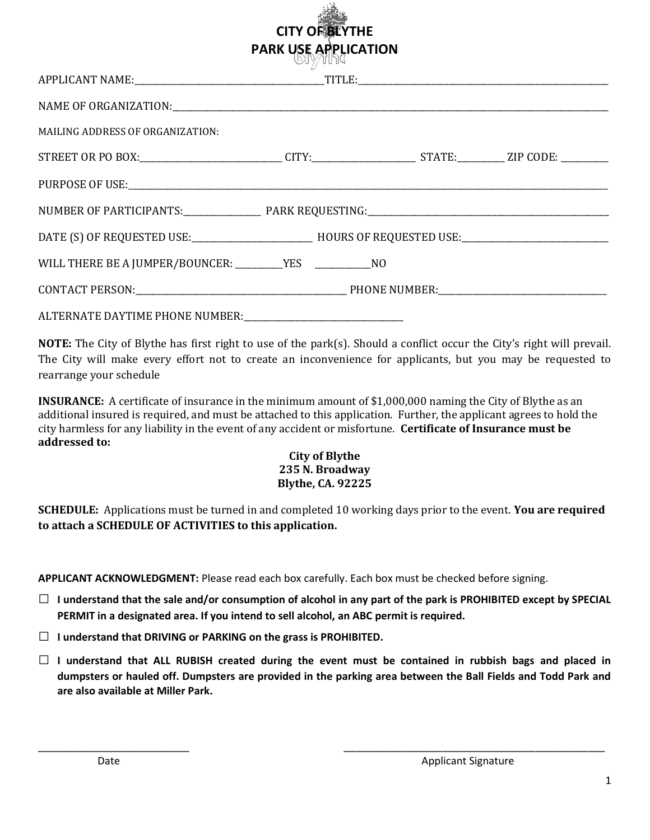|                                                                                                             | <b>CITY OF BLYTHE</b><br><b>PARK USE APPLICATION</b><br><b>GIÀNIJA</b> |  |
|-------------------------------------------------------------------------------------------------------------|------------------------------------------------------------------------|--|
|                                                                                                             |                                                                        |  |
|                                                                                                             |                                                                        |  |
| <b>MAILING ADDRESS OF ORGANIZATION:</b>                                                                     |                                                                        |  |
| STREET OR PO BOX:____________________________CITY:______________________STATE:__________ZIP CODE: _________ |                                                                        |  |
|                                                                                                             |                                                                        |  |
|                                                                                                             |                                                                        |  |
|                                                                                                             |                                                                        |  |
|                                                                                                             |                                                                        |  |
|                                                                                                             |                                                                        |  |
| ALTERNATE DAYTIME PHONE NUMBER:                                                                             |                                                                        |  |

 $55 - 10$ 

NOTE: The City of Blythe has first right to use of the park(s). Should a conflict occur the City's right will prevail. The City will make every effort not to create an inconvenience for applicants, but you may be requested to rearrange your schedule

INSURANCE: A certificate of insurance in the minimum amount of \$1,000,000 naming the City of Blythe as an additional insured is required, and must be attached to this application. Further, the applicant agrees to hold the city harmless for any liability in the event of any accident or misfortune. Certificate of Insurance must be addressed to:

## City of Blythe 235 N. Broadway Blythe, CA. 92225

**SCHEDULE:** Applications must be turned in and completed 10 working days prior to the event. You are required to attach a SCHEDULE OF ACTIVITIES to this application.

APPLICANT ACKNOWLEDGMENT: Please read each box carefully. Each box must be checked before signing.

- $\Box$  I understand that the sale and/or consumption of alcohol in any part of the park is PROHIBITED except by SPECIAL PERMIT in a designated area. If you intend to sell alcohol, an ABC permit is required.
- $\Box$  I understand that DRIVING or PARKING on the grass is PROHIBITED.
- $\Box$  I understand that ALL RUBISH created during the event must be contained in rubbish bags and placed in dumpsters or hauled off. Dumpsters are provided in the parking area between the Ball Fields and Todd Park and are also available at Miller Park.

\_\_\_\_\_\_\_\_\_\_\_\_\_\_\_\_\_\_\_\_\_\_\_\_\_\_ \_\_\_\_\_\_\_\_\_\_\_\_\_\_\_\_\_\_\_\_\_\_\_\_\_\_\_\_\_\_\_\_\_\_\_\_\_\_\_\_\_\_\_\_\_